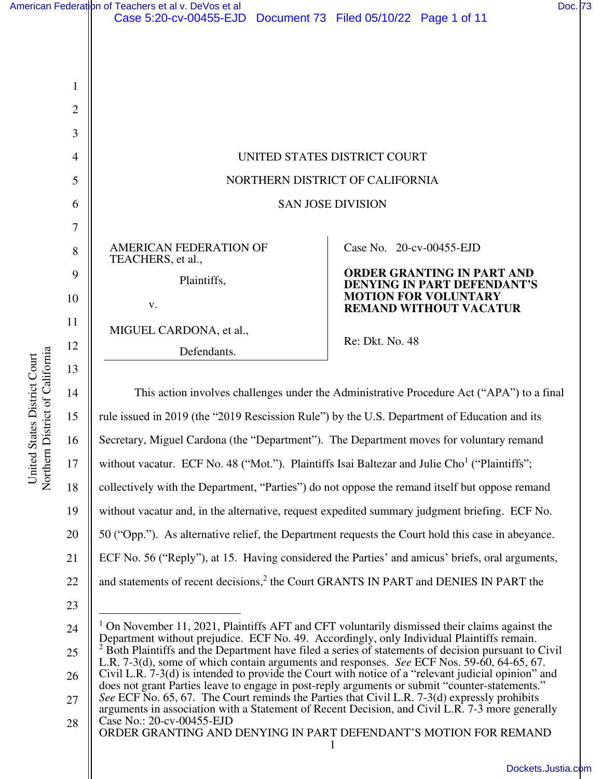| American Federation of Teachers et al v. DeVos et al              |  | Doc. 73 |
|-------------------------------------------------------------------|--|---------|
| Case 5:20-cv-00455-EJD  Document 73  Filed 05/10/22  Page 1 of 11 |  |         |



 $\mathsf{I}$ 

United States District Court

United States District Court

|                                                                                                                                                                                                                                                                                                                                                                                                                                                                                                       | UNITED STATES DISTRICT COURT<br>NORTHERN DISTRICT OF CALIFORNIA<br><b>SAN JOSE DIVISION</b>                                                                                            |
|-------------------------------------------------------------------------------------------------------------------------------------------------------------------------------------------------------------------------------------------------------------------------------------------------------------------------------------------------------------------------------------------------------------------------------------------------------------------------------------------------------|----------------------------------------------------------------------------------------------------------------------------------------------------------------------------------------|
| AMERICAN FEDERATION OF<br>TEACHERS, et al.,<br>Plaintiffs,<br>V.<br>MIGUEL CARDONA, et al.,<br>Defendants.                                                                                                                                                                                                                                                                                                                                                                                            | Case No. 20-cv-00455-EJD<br><b>ORDER GRANTING IN PART AND</b><br><b>DENYING IN PART DEFENDANT'S</b><br><b>MOTION FOR VOLUNTARY</b><br><b>REMAND WITHOUT VACATUR</b><br>Re: Dkt. No. 48 |
| rule issued in 2019 (the "2019 Rescission Rule") by the U.S. Department of Education and its<br>Secretary, Miguel Cardona (the "Department"). The Department moves for voluntary remand<br>without vacatur. ECF No. 48 ("Mot."). Plaintiffs Isai Baltezar and Julie Cho <sup>1</sup> ("Plaintiffs";<br>collectively with the Department, "Parties" do not oppose the remand itself but oppose remand<br>without vacatur and, in the alternative, request expedited summary judgment briefing. ECF No. | This action involves challenges under the Administrative Procedure Act ("APA") to a final                                                                                              |

50 ("Opp."). As alternative relief, the Department requests the Court hold this case in abeyance.

21 ECF No. 56 ("Reply"), at 15. Having considered the Parties' and amicus' briefs, oral arguments,

- 22 and statements of recent decisions, $2$  the Court GRANTS IN PART and DENIES IN PART the
- 23

24 25 26 27 1 On November 11, 2021, Plaintiffs AFT and CFT voluntarily dismissed their claims against the Department without prejudice. ECF No. 49. Accordingly, only Individual Plaintiffs remain.<br><sup>2</sup> Both Plaintiffs and the Department have filed a series of statements of decision pursuant to t Both Plaintiffs and the Department have filed a series of statements of decision pursuant to Civil L.R. 7-3(d), some of which contain arguments and responses. *See* ECF Nos. 59-60, 64-65, 67. Civil L.R. 7-3(d) is intended to provide the Court with notice of a "relevant judicial opinion" and does not grant Parties leave to engage in post-reply arguments or submit "counter-statements." *See* ECF No. 65, 67. The Court reminds the Parties that Civil L.R. 7-3(d) expressly prohibits arguments in association with a Statement of Recent Decision, and Civil L.R. 7-3 more generally



<sup>1</sup>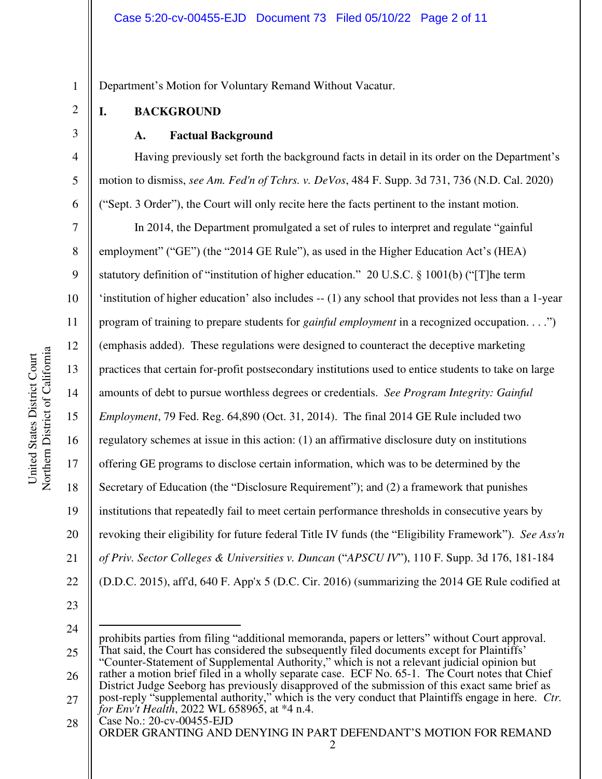Department's Motion for Voluntary Remand Without Vacatur.

## **I. BACKGROUND**

1

2

3

4

5

6

7

8

9

11

12

13

14

15

17

18

19

21

## **A. Factual Background**

Having previously set forth the background facts in detail in its order on the Department's motion to dismiss, *see Am. Fed'n of Tchrs. v. DeVos*, 484 F. Supp. 3d 731, 736 (N.D. Cal. 2020) ("Sept. 3 Order"), the Court will only recite here the facts pertinent to the instant motion.

10 16 20 22 In 2014, the Department promulgated a set of rules to interpret and regulate "gainful employment" ("GE") (the "2014 GE Rule"), as used in the Higher Education Act's (HEA) statutory definition of "institution of higher education." 20 U.S.C. § 1001(b) ("[T]he term 'institution of higher education' also includes -- (1) any school that provides not less than a 1-year program of training to prepare students for *gainful employment* in a recognized occupation. . . .") (emphasis added). These regulations were designed to counteract the deceptive marketing practices that certain for-profit postsecondary institutions used to entice students to take on large amounts of debt to pursue worthless degrees or credentials. *See Program Integrity: Gainful Employment*, 79 Fed. Reg. 64,890 (Oct. 31, 2014). The final 2014 GE Rule included two regulatory schemes at issue in this action: (1) an affirmative disclosure duty on institutions offering GE programs to disclose certain information, which was to be determined by the Secretary of Education (the "Disclosure Requirement"); and (2) a framework that punishes institutions that repeatedly fail to meet certain performance thresholds in consecutive years by revoking their eligibility for future federal Title IV funds (the "Eligibility Framework"). *See Ass'n of Priv. Sector Colleges & Universities v. Duncan* ("*APSCU IV*"), 110 F. Supp. 3d 176, 181-184 (D.D.C. 2015), aff'd, 640 F. App'x 5 (D.C. Cir. 2016) (summarizing the 2014 GE Rule codified at

<sup>24</sup> 

<sup>25</sup>  26 prohibits parties from filing "additional memoranda, papers or letters" without Court approval. That said, the Court has considered the subsequently filed documents except for Plaintiffs' "Counter-Statement of Supplemental Authority," which is not a relevant judicial opinion but rather a motion brief filed in a wholly separate case. ECF No. 65-1. The Court notes that Chief

<sup>27</sup>  District Judge Seeborg has previously disapproved of the submission of this exact same brief as post-reply "supplemental authority," which is the very conduct that Plaintiffs engage in here. *Ctr. for Env't Health*, 2022 WL 658965, at \*4 n.4.

Case No.: [20-cv-00455-EJD](https://cand-ecf.sso.dcn/cgi-bin/DktRpt.pl?354174)  ORDER GRANTING AND DENYING IN PART DEFENDANT'S MOTION FOR REMAND 28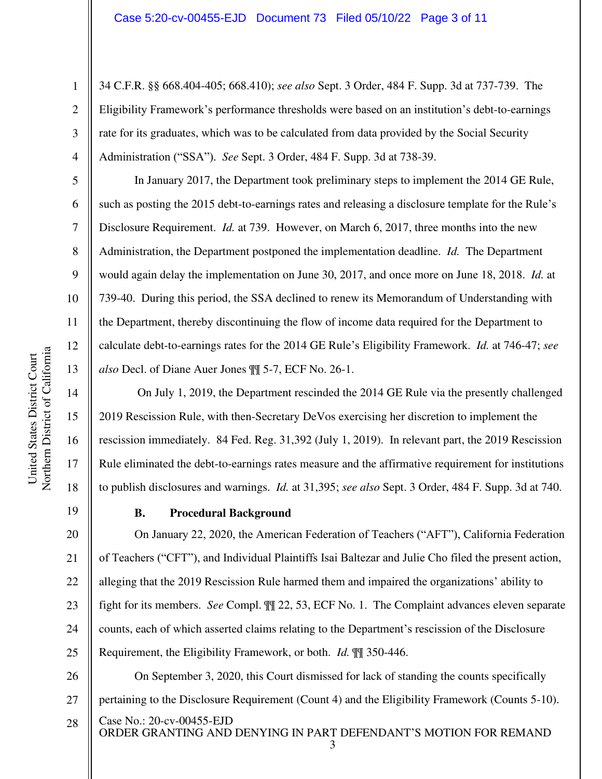34 C.F.R. §§ 668.404-405; 668.410); *see also* Sept. 3 Order, 484 F. Supp. 3d at 737-739. The Eligibility Framework's performance thresholds were based on an institution's debt-to-earnings rate for its graduates, which was to be calculated from data provided by the Social Security Administration ("SSA"). *See* Sept. 3 Order, 484 F. Supp. 3d at 738-39.

In January 2017, the Department took preliminary steps to implement the 2014 GE Rule, such as posting the 2015 debt-to-earnings rates and releasing a disclosure template for the Rule's Disclosure Requirement. *Id.* at 739. However, on March 6, 2017, three months into the new Administration, the Department postponed the implementation deadline. *Id.* The Department would again delay the implementation on June 30, 2017, and once more on June 18, 2018. *Id.* at 739-40. During this period, the SSA declined to renew its Memorandum of Understanding with the Department, thereby discontinuing the flow of income data required for the Department to calculate debt-to-earnings rates for the 2014 GE Rule's Eligibility Framework. *Id.* at 746-47; *see also* Decl. of Diane Auer Jones ¶¶ 5-7, ECF No. 26-1.

 On July 1, 2019, the Department rescinded the 2014 GE Rule via the presently challenged 2019 Rescission Rule, with then-Secretary DeVos exercising her discretion to implement the rescission immediately. 84 Fed. Reg. 31,392 (July 1, 2019). In relevant part, the 2019 Rescission Rule eliminated the debt-to-earnings rates measure and the affirmative requirement for institutions to publish disclosures and warnings. *Id.* at 31,395; *see also* Sept. 3 Order, 484 F. Supp. 3d at 740.

19

1

2

3

4

5

6

7

8

9

10

11

12

13

14

15

16

17

18

#### **B. Procedural Background**

20 21 22 23 On January 22, 2020, the American Federation of Teachers ("AFT"), California Federation of Teachers ("CFT"), and Individual Plaintiffs Isai Baltezar and Julie Cho filed the present action, alleging that the 2019 Rescission Rule harmed them and impaired the organizations' ability to fight for its members. *See* Compl. ¶¶ 22, 53, ECF No. 1. The Complaint advances eleven separate counts, each of which asserted claims relating to the Department's rescission of the Disclosure Requirement, the Eligibility Framework, or both. *Id.* ¶¶ 350-446.

Case No.: [20-cv-00455-EJD](https://cand-ecf.sso.dcn/cgi-bin/DktRpt.pl?354174)  ORDER GRANTING AND DENYING IN PART DEFENDANT'S MOTION FOR REMAND 26 27 28 On September 3, 2020, this Court dismissed for lack of standing the counts specifically pertaining to the Disclosure Requirement (Count 4) and the Eligibility Framework (Counts 5-10).

- 24 25
-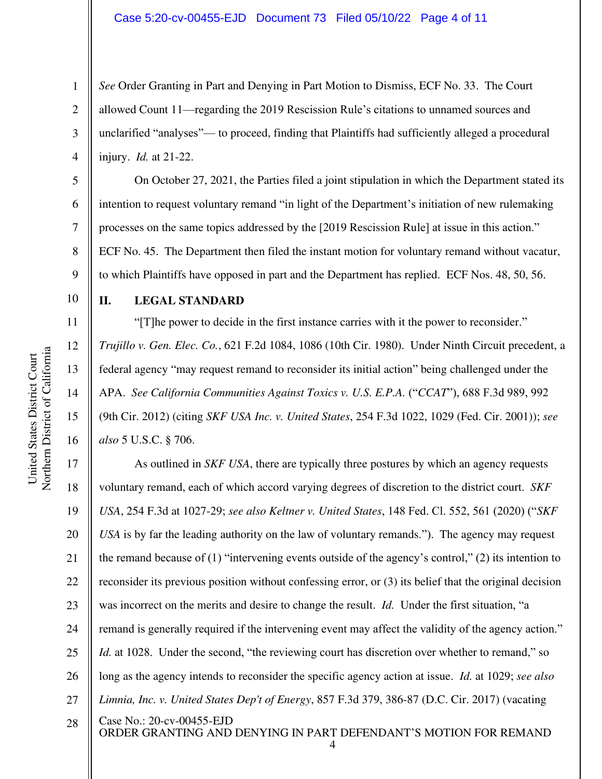*See* Order Granting in Part and Denying in Part Motion to Dismiss, ECF No. 33. The Court allowed Count 11—regarding the 2019 Rescission Rule's citations to unnamed sources and unclarified "analyses"— to proceed, finding that Plaintiffs had sufficiently alleged a procedural injury. *Id.* at 21-22.

On October 27, 2021, the Parties filed a joint stipulation in which the Department stated its intention to request voluntary remand "in light of the Department's initiation of new rulemaking processes on the same topics addressed by the [2019 Rescission Rule] at issue in this action." ECF No. 45. The Department then filed the instant motion for voluntary remand without vacatur, to which Plaintiffs have opposed in part and the Department has replied. ECF Nos. 48, 50, 56.

10

1

2

3

4

5

6

7

8

9

11

12

13

14

15

16

### **II. LEGAL STANDARD**

"[T]he power to decide in the first instance carries with it the power to reconsider." *Trujillo v. Gen. Elec. Co.*, 621 F.2d 1084, 1086 (10th Cir. 1980). Under Ninth Circuit precedent, a federal agency "may request remand to reconsider its initial action" being challenged under the APA. *See California Communities Against Toxics v. U.S. E.P.A.* ("*CCAT*"), 688 F.3d 989, 992 (9th Cir. 2012) (citing *SKF USA Inc. v. United States*, 254 F.3d 1022, 1029 (Fed. Cir. 2001)); *see also* 5 U.S.C. § 706.

Case No.: [20-cv-00455-EJD](https://cand-ecf.sso.dcn/cgi-bin/DktRpt.pl?354174)  ORDER GRANTING AND DENYING IN PART DEFENDANT'S MOTION FOR REMAND 17 18 19 20 21 22 23 24 25 26 27 28 As outlined in *SKF USA*, there are typically three postures by which an agency requests voluntary remand, each of which accord varying degrees of discretion to the district court. *SKF USA*, 254 F.3d at 1027-29; *see also Keltner v. United States*, 148 Fed. Cl. 552, 561 (2020) ("*SKF USA* is by far the leading authority on the law of voluntary remands."). The agency may request the remand because of (1) "intervening events outside of the agency's control," (2) its intention to reconsider its previous position without confessing error, or (3) its belief that the original decision was incorrect on the merits and desire to change the result. *Id.* Under the first situation, "a remand is generally required if the intervening event may affect the validity of the agency action." *Id.* at 1028. Under the second, "the reviewing court has discretion over whether to remand," so long as the agency intends to reconsider the specific agency action at issue. *Id.* at 1029; *see also Limnia, Inc. v. United States Dep't of Energy*, 857 F.3d 379, 386-87 (D.C. Cir. 2017) (vacating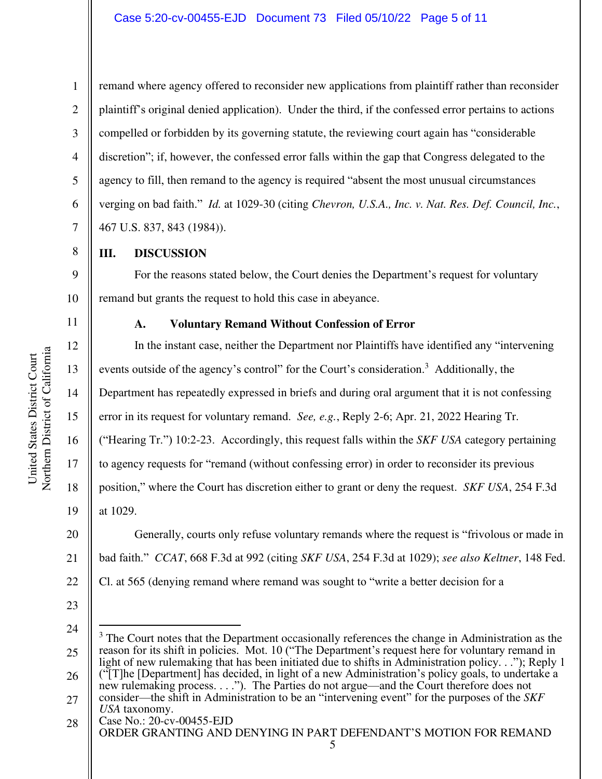4

5

6

7

8

9

10

11

12

13

14

15

16

17

18

19

1

remand where agency offered to reconsider new applications from plaintiff rather than reconsider plaintiff's original denied application). Under the third, if the confessed error pertains to actions compelled or forbidden by its governing statute, the reviewing court again has "considerable discretion"; if, however, the confessed error falls within the gap that Congress delegated to the agency to fill, then remand to the agency is required "absent the most unusual circumstances verging on bad faith." *Id.* at 1029-30 (citing *Chevron, U.S.A., Inc. v. Nat. Res. Def. Council, Inc.*, 467 U.S. 837, 843 (1984)).

**III. DISCUSSION** 

For the reasons stated below, the Court denies the Department's request for voluntary remand but grants the request to hold this case in abeyance.

#### **A. Voluntary Remand Without Confession of Error**

In the instant case, neither the Department nor Plaintiffs have identified any "intervening events outside of the agency's control" for the Court's consideration.<sup>3</sup> Additionally, the Department has repeatedly expressed in briefs and during oral argument that it is not confessing error in its request for voluntary remand. *See, e.g.*, Reply 2-6; Apr. 21, 2022 Hearing Tr. ("Hearing Tr.") 10:2-23. Accordingly, this request falls within the *SKF USA* category pertaining to agency requests for "remand (without confessing error) in order to reconsider its previous position," where the Court has discretion either to grant or deny the request. *SKF USA*, 254 F.3d at 1029.

20 21 22 Generally, courts only refuse voluntary remands where the request is "frivolous or made in bad faith." *CCAT*, 668 F.3d at 992 (citing *SKF USA*, 254 F.3d at 1029); *see also Keltner*, 148 Fed. Cl. at 565 (denying remand where remand was sought to "write a better decision for a

23

25 26 27 <sup>3</sup> The Court notes that the Department occasionally references the change in Administration as the reason for its shift in policies. Mot. 10 ("The Department's request here for voluntary remand in light of new rulemaking that has been initiated due to shifts in Administration policy. . ."); Reply 1 ("[T]he [Department] has decided, in light of a new Administration's policy goals, to undertake a new rulemaking process. . . ."). The Parties do not argue—and the Court therefore does not consider—the shift in Administration to be an "intervening event" for the purposes of the *SKF USA* taxonomy.

Case No.: [20-cv-00455-EJD](https://cand-ecf.sso.dcn/cgi-bin/DktRpt.pl?354174)  ORDER GRANTING AND DENYING IN PART DEFENDANT'S MOTION FOR REMAND 5 28

<sup>24</sup>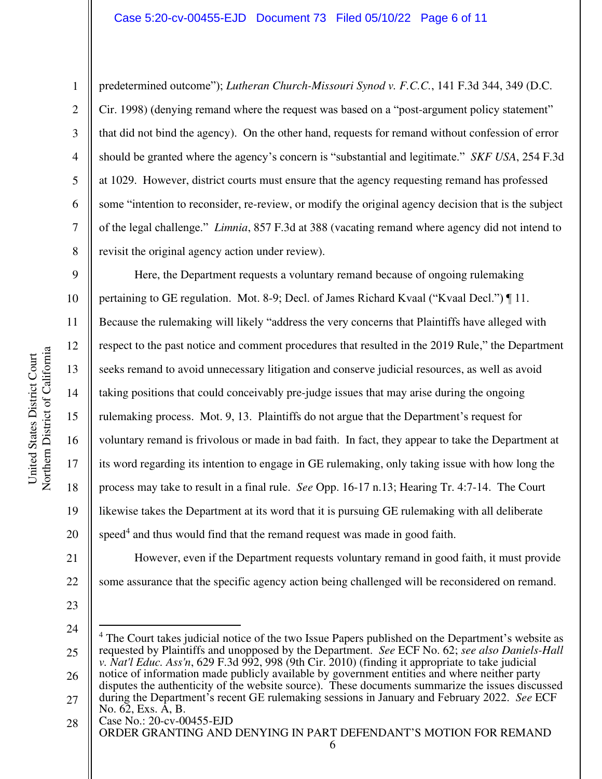#### Case 5:20-cv-00455-EJD Document 73 Filed 05/10/22 Page 6 of 11

predetermined outcome"); *Lutheran Church-Missouri Synod v. F.C.C.*, 141 F.3d 344, 349 (D.C. Cir. 1998) (denying remand where the request was based on a "post-argument policy statement" that did not bind the agency). On the other hand, requests for remand without confession of error should be granted where the agency's concern is "substantial and legitimate." *SKF USA*, 254 F.3d at 1029. However, district courts must ensure that the agency requesting remand has professed some "intention to reconsider, re-review, or modify the original agency decision that is the subject of the legal challenge." *Limnia*, 857 F.3d at 388 (vacating remand where agency did not intend to revisit the original agency action under review).

9 10 11 12 13 14 15 16 17 18 19 20 Here, the Department requests a voluntary remand because of ongoing rulemaking pertaining to GE regulation. Mot. 8-9; Decl. of James Richard Kvaal ("Kvaal Decl.") ¶ 11. Because the rulemaking will likely "address the very concerns that Plaintiffs have alleged with respect to the past notice and comment procedures that resulted in the 2019 Rule," the Department seeks remand to avoid unnecessary litigation and conserve judicial resources, as well as avoid taking positions that could conceivably pre-judge issues that may arise during the ongoing rulemaking process. Mot. 9, 13. Plaintiffs do not argue that the Department's request for voluntary remand is frivolous or made in bad faith. In fact, they appear to take the Department at its word regarding its intention to engage in GE rulemaking, only taking issue with how long the process may take to result in a final rule. *See* Opp. 16-17 n.13; Hearing Tr. 4:7-14. The Court likewise takes the Department at its word that it is pursuing GE rulemaking with all deliberate speed<sup>4</sup> and thus would find that the remand request was made in good faith.

However, even if the Department requests voluntary remand in good faith, it must provide some assurance that the specific agency action being challenged will be reconsidered on remand.

23

21

22

24

Case No.: [20-cv-00455-EJD](https://cand-ecf.sso.dcn/cgi-bin/DktRpt.pl?354174)  ORDER GRANTING AND DENYING IN PART DEFENDANT'S MOTION FOR REMAND 6 28

1

2

3

4

5

6

7

<sup>25</sup>  26 27 4 The Court takes judicial notice of the two Issue Papers published on the Department's website as requested by Plaintiffs and unopposed by the Department. *See* ECF No. 62; *see also Daniels-Hall v. Nat'l Educ. Ass'n*, 629 F.3d 992, 998 (9th Cir. 2010) (finding it appropriate to take judicial notice of information made publicly available by government entities and where neither party disputes the authenticity of the website source). These documents summarize the issues discussed during the Department's recent GE rulemaking sessions in January and February 2022. *See* ECF No. 62, Exs. A, B.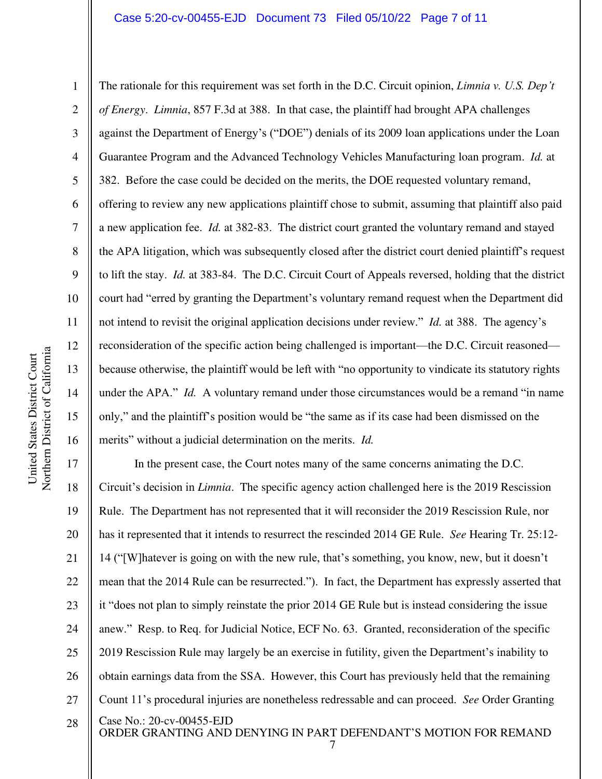United States District Court

Northern District of California United States District Court

1

2

The rationale for this requirement was set forth in the D.C. Circuit opinion, *Limnia v. U.S. Dep't of Energy*. *Limnia*, 857 F.3d at 388. In that case, the plaintiff had brought APA challenges against the Department of Energy's ("DOE") denials of its 2009 loan applications under the Loan Guarantee Program and the Advanced Technology Vehicles Manufacturing loan program. *Id.* at 382. Before the case could be decided on the merits, the DOE requested voluntary remand, offering to review any new applications plaintiff chose to submit, assuming that plaintiff also paid a new application fee. *Id.* at 382-83. The district court granted the voluntary remand and stayed the APA litigation, which was subsequently closed after the district court denied plaintiff's request to lift the stay. *Id.* at 383-84. The D.C. Circuit Court of Appeals reversed, holding that the district court had "erred by granting the Department's voluntary remand request when the Department did not intend to revisit the original application decisions under review." *Id.* at 388. The agency's reconsideration of the specific action being challenged is important—the D.C. Circuit reasoned because otherwise, the plaintiff would be left with "no opportunity to vindicate its statutory rights under the APA." *Id.* A voluntary remand under those circumstances would be a remand "in name" only," and the plaintiff's position would be "the same as if its case had been dismissed on the merits" without a judicial determination on the merits. *Id.*

Case No.: [20-cv-00455-EJD](https://cand-ecf.sso.dcn/cgi-bin/DktRpt.pl?354174)  ORDER GRANTING AND DENYING IN PART DEFENDANT'S MOTION FOR REMAND 19 20 21 22 23 24 25 26 27 28 In the present case, the Court notes many of the same concerns animating the D.C. Circuit's decision in *Limnia*. The specific agency action challenged here is the 2019 Rescission Rule. The Department has not represented that it will reconsider the 2019 Rescission Rule, nor has it represented that it intends to resurrect the rescinded 2014 GE Rule. *See* Hearing Tr. 25:12- 14 ("[W]hatever is going on with the new rule, that's something, you know, new, but it doesn't mean that the 2014 Rule can be resurrected."). In fact, the Department has expressly asserted that it "does not plan to simply reinstate the prior 2014 GE Rule but is instead considering the issue anew." Resp. to Req. for Judicial Notice, ECF No. 63. Granted, reconsideration of the specific 2019 Rescission Rule may largely be an exercise in futility, given the Department's inability to obtain earnings data from the SSA. However, this Court has previously held that the remaining Count 11's procedural injuries are nonetheless redressable and can proceed. *See* Order Granting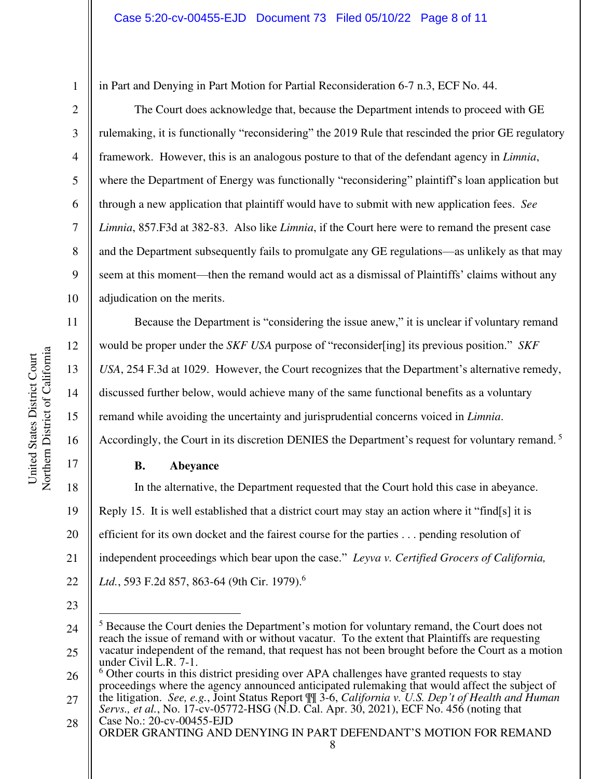2 3

4

5

6

7

8

9

10

11

12

13

14

15

16

17

1

in Part and Denying in Part Motion for Partial Reconsideration 6-7 n.3, ECF No. 44.

The Court does acknowledge that, because the Department intends to proceed with GE rulemaking, it is functionally "reconsidering" the 2019 Rule that rescinded the prior GE regulatory framework. However, this is an analogous posture to that of the defendant agency in *Limnia*, where the Department of Energy was functionally "reconsidering" plaintiff's loan application but through a new application that plaintiff would have to submit with new application fees. *See Limnia*, 857.F3d at 382-83. Also like *Limnia*, if the Court here were to remand the present case and the Department subsequently fails to promulgate any GE regulations—as unlikely as that may seem at this moment—then the remand would act as a dismissal of Plaintiffs' claims without any adjudication on the merits.

Because the Department is "considering the issue anew," it is unclear if voluntary remand would be proper under the *SKF USA* purpose of "reconsider[ing] its previous position." *SKF USA*, 254 F.3d at 1029. However, the Court recognizes that the Department's alternative remedy, discussed further below, would achieve many of the same functional benefits as a voluntary remand while avoiding the uncertainty and jurisprudential concerns voiced in *Limnia*.

Accordingly, the Court in its discretion DENIES the Department's request for voluntary remand.<sup>5</sup>

### **B. Abeyance**

18 19 20 21 22 In the alternative, the Department requested that the Court hold this case in abeyance. Reply 15. It is well established that a district court may stay an action where it "find[s] it is efficient for its own docket and the fairest course for the parties . . . pending resolution of independent proceedings which bear upon the case." *Leyva v. Certified Grocers of California, Ltd.*, 593 F.2d 857, 863-64 (9th Cir. 1979).<sup>6</sup>

<sup>24</sup>  25 <sup>5</sup> Because the Court denies the Department's motion for voluntary remand, the Court does not reach the issue of remand with or without vacatur. To the extent that Plaintiffs are requesting vacatur independent of the remand, that request has not been brought before the Court as a motion under Civil L.R. 7-1.

<sup>26</sup>  6 Other courts in this district presiding over APA challenges have granted requests to stay proceedings where the agency announced anticipated rulemaking that would affect the subject of

<sup>27</sup>  the litigation. *See, e.g.*, Joint Status Report ¶¶ 3-6, *California v. U.S. Dep't of Health and Human Servs., et al.*, No. 17-cv-05772-HSG (N.D. Cal. Apr. 30, 2021), ECF No. 456 (noting that

Case No.: [20-cv-00455-EJD](https://cand-ecf.sso.dcn/cgi-bin/DktRpt.pl?354174)  ORDER GRANTING AND DENYING IN PART DEFENDANT'S MOTION FOR REMAND 8 28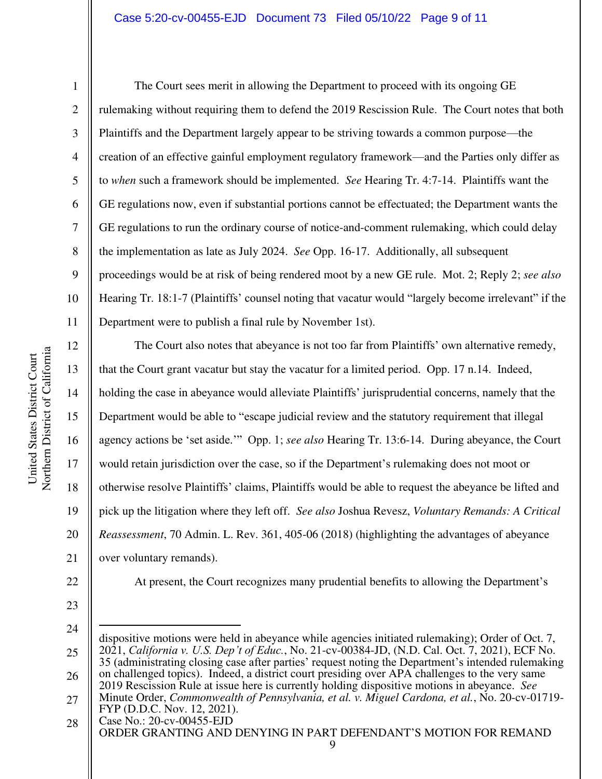#### Case 5:20-cv-00455-EJD Document 73 Filed 05/10/22 Page 9 of 11

1

2

3

4

5

6

7

8

9

11

10 The Court sees merit in allowing the Department to proceed with its ongoing GE rulemaking without requiring them to defend the 2019 Rescission Rule. The Court notes that both Plaintiffs and the Department largely appear to be striving towards a common purpose—the creation of an effective gainful employment regulatory framework—and the Parties only differ as to *when* such a framework should be implemented. *See* Hearing Tr. 4:7-14. Plaintiffs want the GE regulations now, even if substantial portions cannot be effectuated; the Department wants the GE regulations to run the ordinary course of notice-and-comment rulemaking, which could delay the implementation as late as July 2024. *See* Opp. 16-17. Additionally, all subsequent proceedings would be at risk of being rendered moot by a new GE rule. Mot. 2; Reply 2; *see also* Hearing Tr. 18:1-7 (Plaintiffs' counsel noting that vacatur would "largely become irrelevant" if the Department were to publish a final rule by November 1st).

12 13 14 15 16 17 18 19 20 21 The Court also notes that abeyance is not too far from Plaintiffs' own alternative remedy, that the Court grant vacatur but stay the vacatur for a limited period. Opp. 17 n.14. Indeed, holding the case in abeyance would alleviate Plaintiffs' jurisprudential concerns, namely that the Department would be able to "escape judicial review and the statutory requirement that illegal agency actions be 'set aside.'" Opp. 1; *see also* Hearing Tr. 13:6-14. During abeyance, the Court would retain jurisdiction over the case, so if the Department's rulemaking does not moot or otherwise resolve Plaintiffs' claims, Plaintiffs would be able to request the abeyance be lifted and pick up the litigation where they left off. *See also* Joshua Revesz, *Voluntary Remands: A Critical Reassessment*, 70 Admin. L. Rev. 361, 405-06 (2018) (highlighting the advantages of abeyance over voluntary remands).

22

23

24

Case No.: [20-cv-00455-EJD](https://cand-ecf.sso.dcn/cgi-bin/DktRpt.pl?354174)  ORDER GRANTING AND DENYING IN PART DEFENDANT'S MOTION FOR REMAND 25 26 27 28 dispositive motions were held in abeyance while agencies initiated rulemaking); Order of Oct. 7, 2021, *California v. U.S. Dep't of Educ.*, No. 21-cv-00384-JD, (N.D. Cal. Oct. 7, 2021), ECF No. 35 (administrating closing case after parties' request noting the Department's intended rulemaking on challenged topics). Indeed, a district court presiding over APA challenges to the very same 2019 Rescission Rule at issue here is currently holding dispositive motions in abeyance. *See* Minute Order, *Commonwealth of Pennsylvania, et al. v. Miguel Cardona, et al.*, No. 20-cv-01719- FYP (D.D.C. Nov. 12, 2021).

At present, the Court recognizes many prudential benefits to allowing the Department's

<sup>9</sup>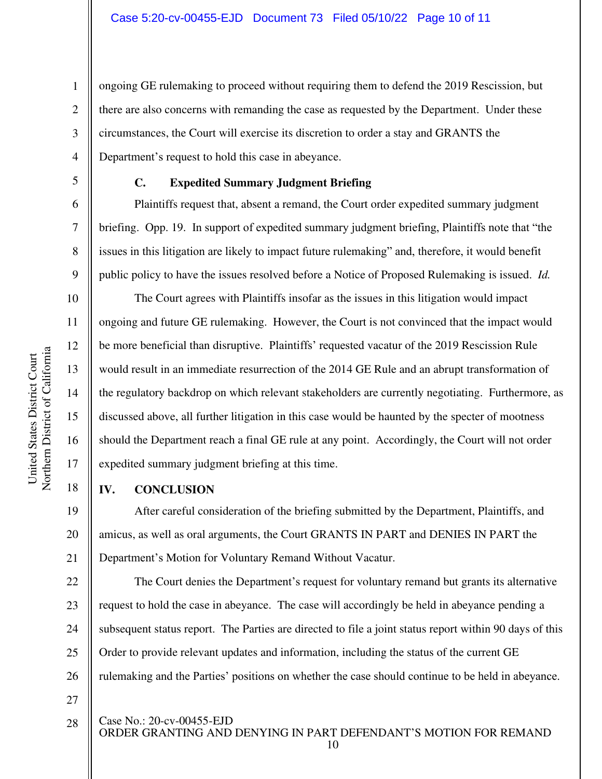ongoing GE rulemaking to proceed without requiring them to defend the 2019 Rescission, but there are also concerns with remanding the case as requested by the Department. Under these circumstances, the Court will exercise its discretion to order a stay and GRANTS the Department's request to hold this case in abeyance.

1

2

3

4

5

6

7

8

9

10

11

12

13

14

15

16

17

18

28

## **C. Expedited Summary Judgment Briefing**

Plaintiffs request that, absent a remand, the Court order expedited summary judgment briefing. Opp. 19. In support of expedited summary judgment briefing, Plaintiffs note that "the issues in this litigation are likely to impact future rulemaking" and, therefore, it would benefit public policy to have the issues resolved before a Notice of Proposed Rulemaking is issued. *Id.*

The Court agrees with Plaintiffs insofar as the issues in this litigation would impact ongoing and future GE rulemaking. However, the Court is not convinced that the impact would be more beneficial than disruptive. Plaintiffs' requested vacatur of the 2019 Rescission Rule would result in an immediate resurrection of the 2014 GE Rule and an abrupt transformation of the regulatory backdrop on which relevant stakeholders are currently negotiating. Furthermore, as discussed above, all further litigation in this case would be haunted by the specter of mootness should the Department reach a final GE rule at any point. Accordingly, the Court will not order expedited summary judgment briefing at this time.

#### **IV. CONCLUSION**

19 20 21 After careful consideration of the briefing submitted by the Department, Plaintiffs, and amicus, as well as oral arguments, the Court GRANTS IN PART and DENIES IN PART the Department's Motion for Voluntary Remand Without Vacatur.

22 23 24 25 26 27 The Court denies the Department's request for voluntary remand but grants its alternative request to hold the case in abeyance. The case will accordingly be held in abeyance pending a subsequent status report. The Parties are directed to file a joint status report within 90 days of this Order to provide relevant updates and information, including the status of the current GE rulemaking and the Parties' positions on whether the case should continue to be held in abeyance.

Case No.: [20-cv-00455-EJD](https://cand-ecf.sso.dcn/cgi-bin/DktRpt.pl?354174) 

ORDER GRANTING AND DENYING IN PART DEFENDANT'S MOTION FOR REMAND

10

Northern District of California Northern District of California United States District Court United States District Court